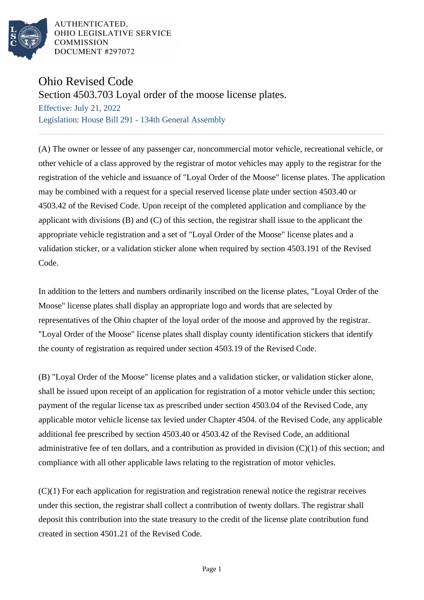

AUTHENTICATED. OHIO LEGISLATIVE SERVICE **COMMISSION** DOCUMENT #297072

## Ohio Revised Code

Section 4503.703 Loyal order of the moose license plates.

Effective: July 21, 2022 Legislation: House Bill 291 - 134th General Assembly

(A) The owner or lessee of any passenger car, noncommercial motor vehicle, recreational vehicle, or other vehicle of a class approved by the registrar of motor vehicles may apply to the registrar for the registration of the vehicle and issuance of "Loyal Order of the Moose" license plates. The application may be combined with a request for a special reserved license plate under section 4503.40 or 4503.42 of the Revised Code. Upon receipt of the completed application and compliance by the applicant with divisions (B) and (C) of this section, the registrar shall issue to the applicant the appropriate vehicle registration and a set of "Loyal Order of the Moose" license plates and a validation sticker, or a validation sticker alone when required by section 4503.191 of the Revised Code.

In addition to the letters and numbers ordinarily inscribed on the license plates, "Loyal Order of the Moose" license plates shall display an appropriate logo and words that are selected by representatives of the Ohio chapter of the loyal order of the moose and approved by the registrar. "Loyal Order of the Moose" license plates shall display county identification stickers that identify the county of registration as required under section 4503.19 of the Revised Code.

(B) "Loyal Order of the Moose" license plates and a validation sticker, or validation sticker alone, shall be issued upon receipt of an application for registration of a motor vehicle under this section; payment of the regular license tax as prescribed under section 4503.04 of the Revised Code, any applicable motor vehicle license tax levied under Chapter 4504. of the Revised Code, any applicable additional fee prescribed by section 4503.40 or 4503.42 of the Revised Code, an additional administrative fee of ten dollars, and a contribution as provided in division (C)(1) of this section; and compliance with all other applicable laws relating to the registration of motor vehicles.

(C)(1) For each application for registration and registration renewal notice the registrar receives under this section, the registrar shall collect a contribution of twenty dollars. The registrar shall deposit this contribution into the state treasury to the credit of the license plate contribution fund created in section 4501.21 of the Revised Code.